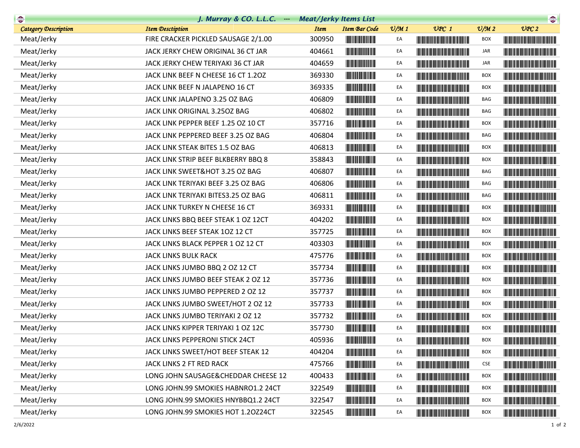| <b>Company</b>              | J. Murray & CO. L.L.C. $\cdots$     | <b>Meat/Jerky Items List</b>        |                                                                                                                       |                 |                                                                                                                                                                                                                                      |                             | $\begin{picture}(20,10) \put(0,0){\line(1,0){10}} \put(0,0){\line(1,0){10}} \put(0,0){\line(1,0){10}} \put(0,0){\line(1,0){10}} \put(0,0){\line(1,0){10}} \put(0,0){\line(1,0){10}} \put(0,0){\line(1,0){10}} \put(0,0){\line(1,0){10}} \put(0,0){\line(1,0){10}} \put(0,0){\line(1,0){10}} \put(0,0){\line(1,0){10}} \put(0,0){\line(1,0){10}} \put(0,$ |
|-----------------------------|-------------------------------------|-------------------------------------|-----------------------------------------------------------------------------------------------------------------------|-----------------|--------------------------------------------------------------------------------------------------------------------------------------------------------------------------------------------------------------------------------------|-----------------------------|----------------------------------------------------------------------------------------------------------------------------------------------------------------------------------------------------------------------------------------------------------------------------------------------------------------------------------------------------------|
| <b>Category Description</b> | <b>Item Desctiption</b>             | <b>Item Bar Code</b><br><b>Item</b> |                                                                                                                       | $\frac{v}{M}$ 1 | $UPC$ 1                                                                                                                                                                                                                              | $\mathcal{O}/\mathcal{M}$ 2 | UPC2                                                                                                                                                                                                                                                                                                                                                     |
| Meat/Jerky                  | FIRE CRACKER PICKLED SAUSAGE 2/1.00 | 300950                              |                                                                                                                       | EA              |                                                                                                                                                                                                                                      | <b>BOX</b>                  |                                                                                                                                                                                                                                                                                                                                                          |
| Meat/Jerky                  | JACK JERKY CHEW ORIGINAL 36 CT JAR  | 404661                              | <u> Indian American Indian Indian Indian Indian Indian Indian Indian Indian Indian Indian Indian Indian Indian In</u> | EA              |                                                                                                                                                                                                                                      | JAR                         |                                                                                                                                                                                                                                                                                                                                                          |
| Meat/Jerky                  | JACK JERKY CHEW TERIYAKI 36 CT JAR  | 404659                              |                                                                                                                       | EA              |                                                                                                                                                                                                                                      | JAR                         |                                                                                                                                                                                                                                                                                                                                                          |
| Meat/Jerky                  | JACK LINK BEEF N CHEESE 16 CT 1.20Z | 369330                              |                                                                                                                       | EA              | <u> Harry Harry Harry Harry Harry Harry Harry Harry Harry Harry Harry Harry Harry Harry Harry Harry Harry Harry Harry Harry Harry Harry Harry Harry Harry Harry Harry Harry Harry Harry Harry Harry Harry Harry Harry Harry Harr</u> | <b>BOX</b>                  |                                                                                                                                                                                                                                                                                                                                                          |
| Meat/Jerky                  | JACK LINK BEEF N JALAPENO 16 CT     | 369335                              |                                                                                                                       | EA              |                                                                                                                                                                                                                                      | <b>BOX</b>                  |                                                                                                                                                                                                                                                                                                                                                          |
| Meat/Jerky                  | JACK LINK JALAPENO 3.25 OZ BAG      | 406809                              |                                                                                                                       | EA              | <u> Harry Harry Harry Harry Harry Harry Harry Harry Harry Harry Harry Harry Harry Harry Harry Harry Harry Harry H</u>                                                                                                                | BAG                         |                                                                                                                                                                                                                                                                                                                                                          |
| Meat/Jerky                  | JACK LINK ORIGINAL 3.250Z BAG       | 406802                              |                                                                                                                       | EA              |                                                                                                                                                                                                                                      | BAG                         |                                                                                                                                                                                                                                                                                                                                                          |
| Meat/Jerky                  | JACK LINK PEPPER BEEF 1.25 OZ 10 CT | 357716                              |                                                                                                                       | EA              |                                                                                                                                                                                                                                      | <b>BOX</b>                  |                                                                                                                                                                                                                                                                                                                                                          |
| Meat/Jerky                  | JACK LINK PEPPERED BEEF 3.25 OZ BAG | 406804                              |                                                                                                                       | EA              |                                                                                                                                                                                                                                      | BAG                         |                                                                                                                                                                                                                                                                                                                                                          |
| Meat/Jerky                  | JACK LINK STEAK BITES 1.5 OZ BAG    | 406813                              | <u> Herbert Herbert in der Erste der Erste der Erste der Erste der Erste der Erste der Erste der Erste der Erste </u> | EA              | <u> Timba ka matsayin ka matsayin ka matsayin ka matsayin ka matsayin ka matsayin ka matsayin ka matsayin ka matsayin ka matsayin ka matsayin ka matsayin ka matsayin ka matsayin ka matsayin ka matsayin ka matsayin ka matsayi</u> | BOX                         |                                                                                                                                                                                                                                                                                                                                                          |
| Meat/Jerky                  | JACK LINK STRIP BEEF BLKBERRY BBQ 8 | 358843                              |                                                                                                                       | EA              |                                                                                                                                                                                                                                      | <b>BOX</b>                  |                                                                                                                                                                                                                                                                                                                                                          |
| Meat/Jerky                  | JACK LINK SWEET&HOT 3.25 OZ BAG     | 406807                              |                                                                                                                       | EA              |                                                                                                                                                                                                                                      | BAG                         |                                                                                                                                                                                                                                                                                                                                                          |
| Meat/Jerky                  | JACK LINK TERIYAKI BEEF 3.25 OZ BAG | 406806                              |                                                                                                                       | EA              |                                                                                                                                                                                                                                      | BAG                         |                                                                                                                                                                                                                                                                                                                                                          |
| Meat/Jerky                  | JACK LINK TERIYAKI BITES3.25 OZ BAG | 406811                              | <u> Hill Maria Barat de la p</u>                                                                                      | EA              | <u> Harry Harry Harry Harry Harry Harry Harry Harry Harry Harry Harry Harry Harry Harry Harry Harry Harry Harry Harry Harry Harry Harry Harry Harry Harry Harry Harry Harry Harry Harry Harry Harry Harry Harry Harry Harry Harr</u> | BAG                         |                                                                                                                                                                                                                                                                                                                                                          |
| Meat/Jerky                  | JACK LINK TURKEY N CHEESE 16 CT     | 369331                              | <b>The Common Service</b>                                                                                             | EA              |                                                                                                                                                                                                                                      | <b>BOX</b>                  |                                                                                                                                                                                                                                                                                                                                                          |
| Meat/Jerky                  | JACK LINKS BBQ BEEF STEAK 1 OZ 12CT | 404202                              |                                                                                                                       | EA              |                                                                                                                                                                                                                                      | BOX                         |                                                                                                                                                                                                                                                                                                                                                          |
| Meat/Jerky                  | JACK LINKS BEEF STEAK 10Z 12 CT     | 357725                              |                                                                                                                       | EA              |                                                                                                                                                                                                                                      | <b>BOX</b>                  | <u> Handi karajeni po svoji se u predstavanju i predstavanju i predstavanju i predstavanju i predstavanju i predstavanju i predstavanju i predstavanju i predstavanju i predstavanju i predstavanju i predstavanju i predstavanj</u>                                                                                                                     |
| Meat/Jerky                  | JACK LINKS BLACK PEPPER 1 OZ 12 CT  | 403303                              |                                                                                                                       | EA              |                                                                                                                                                                                                                                      | <b>BOX</b>                  |                                                                                                                                                                                                                                                                                                                                                          |
| Meat/Jerky                  | JACK LINKS BULK RACK                | 475776                              |                                                                                                                       | EA              |                                                                                                                                                                                                                                      | <b>BOX</b>                  |                                                                                                                                                                                                                                                                                                                                                          |
| Meat/Jerky                  | JACK LINKS JUMBO BBQ 2 OZ 12 CT     | 357734                              |                                                                                                                       | EA              |                                                                                                                                                                                                                                      | BOX                         |                                                                                                                                                                                                                                                                                                                                                          |
| Meat/Jerky                  | JACK LINKS JUMBO BEEF STEAK 2 OZ 12 | 357736                              | <b>The Community of Second</b>                                                                                        | EA              |                                                                                                                                                                                                                                      | <b>BOX</b>                  |                                                                                                                                                                                                                                                                                                                                                          |
| Meat/Jerky                  | JACK LINKS JUMBO PEPPERED 2 OZ 12   | 357737                              |                                                                                                                       | EA              |                                                                                                                                                                                                                                      | BOX                         |                                                                                                                                                                                                                                                                                                                                                          |
| Meat/Jerky                  | JACK LINKS JUMBO SWEET/HOT 2 OZ 12  | 357733                              |                                                                                                                       | EA              |                                                                                                                                                                                                                                      | <b>BOX</b>                  | <u> Harry Harry Harry Harry Harry Harry Harry Harry Harry Harry Harry Harry Harry Harry Harry Harry Harry Harry Harry Harry Harry Harry Harry Harry Harry Harry Harry Harry Harry Harry Harry Harry Harry Harry Harry Harry Harr</u>                                                                                                                     |
| Meat/Jerky                  | JACK LINKS JUMBO TERIYAKI 2 OZ 12   | 357732                              |                                                                                                                       | EA              |                                                                                                                                                                                                                                      | BOX                         |                                                                                                                                                                                                                                                                                                                                                          |
| Meat/Jerky                  | JACK LINKS KIPPER TERIYAKI 1 OZ 12C | 357730                              |                                                                                                                       | EA              |                                                                                                                                                                                                                                      | <b>BOX</b>                  |                                                                                                                                                                                                                                                                                                                                                          |
| Meat/Jerky                  | JACK LINKS PEPPERONI STICK 24CT     | 405936                              |                                                                                                                       | EA              |                                                                                                                                                                                                                                      | <b>BOX</b>                  |                                                                                                                                                                                                                                                                                                                                                          |
| Meat/Jerky                  | JACK LINKS SWEET/HOT BEEF STEAK 12  | 404204                              |                                                                                                                       | EA              |                                                                                                                                                                                                                                      | BOX                         |                                                                                                                                                                                                                                                                                                                                                          |
| Meat/Jerky                  | JACK LINKS 2 FT RED RACK            | 475766                              |                                                                                                                       | EA              |                                                                                                                                                                                                                                      | <b>CSE</b>                  |                                                                                                                                                                                                                                                                                                                                                          |
| Meat/Jerky                  | LONG JOHN SAUSAGE&CHEDDAR CHEESE 12 | 400433                              | <b>The Common Service</b>                                                                                             | EA              |                                                                                                                                                                                                                                      | BOX                         | <u> Liberal Maria de la contrada de la con</u>                                                                                                                                                                                                                                                                                                           |
| Meat/Jerky                  | LONG JOHN.99 SMOKIES HABNRO1.2 24CT | 322549                              |                                                                                                                       | EA              | <u> Harry Harry Harry Harry Harry Harry Harry Harry Harry Harry Harry Harry Harry Harry Harry Harry Harry Harry H</u>                                                                                                                | BOX                         |                                                                                                                                                                                                                                                                                                                                                          |
| Meat/Jerky                  | LONG JOHN.99 SMOKIES HNYBBQ1.2 24CT | 322547                              | <b>The State of Second</b>                                                                                            | EA              |                                                                                                                                                                                                                                      | <b>BOX</b>                  | <u> Liberal Barbara (Barbara) </u>                                                                                                                                                                                                                                                                                                                       |
| Meat/Jerky                  | LONG JOHN.99 SMOKIES HOT 1.20Z24CT  | 322545                              |                                                                                                                       | EA              |                                                                                                                                                                                                                                      | <b>BOX</b>                  |                                                                                                                                                                                                                                                                                                                                                          |